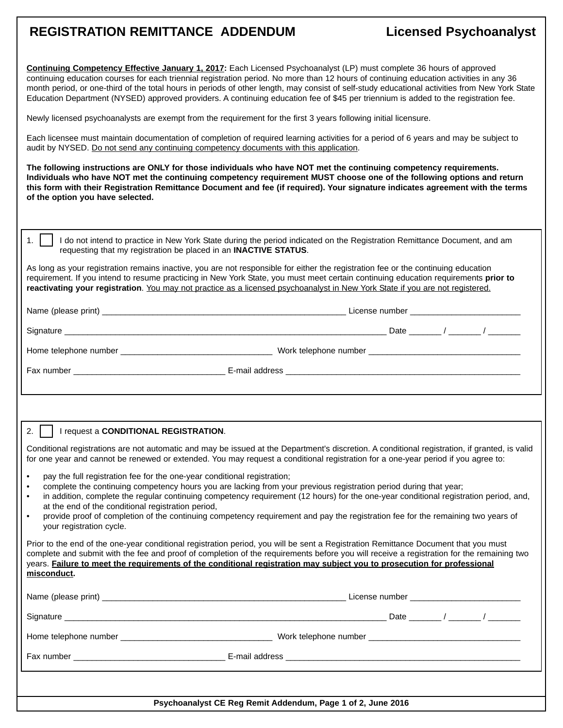## **REGISTRATION REMITTANCE ADDENDUM Licensed Psychoanalyst**

| Continuing Competency Effective January 1, 2017: Each Licensed Psychoanalyst (LP) must complete 36 hours of approved<br>continuing education courses for each triennial registration period. No more than 12 hours of continuing education activities in any 36<br>month period, or one-third of the total hours in periods of other length, may consist of self-study educational activities from New York State<br>Education Department (NYSED) approved providers. A continuing education fee of \$45 per triennium is added to the registration fee.<br>Newly licensed psychoanalysts are exempt from the requirement for the first 3 years following initial licensure. |                                                                                                                           |
|------------------------------------------------------------------------------------------------------------------------------------------------------------------------------------------------------------------------------------------------------------------------------------------------------------------------------------------------------------------------------------------------------------------------------------------------------------------------------------------------------------------------------------------------------------------------------------------------------------------------------------------------------------------------------|---------------------------------------------------------------------------------------------------------------------------|
| Each licensee must maintain documentation of completion of required learning activities for a period of 6 years and may be subject to<br>audit by NYSED. Do not send any continuing competency documents with this application.                                                                                                                                                                                                                                                                                                                                                                                                                                              |                                                                                                                           |
| The following instructions are ONLY for those individuals who have NOT met the continuing competency requirements.<br>Individuals who have NOT met the continuing competency requirement MUST choose one of the following options and return<br>this form with their Registration Remittance Document and fee (if required). Your signature indicates agreement with the terms<br>of the option you have selected.                                                                                                                                                                                                                                                           |                                                                                                                           |
| 1.<br>requesting that my registration be placed in an <b>INACTIVE STATUS</b> .                                                                                                                                                                                                                                                                                                                                                                                                                                                                                                                                                                                               | I do not intend to practice in New York State during the period indicated on the Registration Remittance Document, and am |
| As long as your registration remains inactive, you are not responsible for either the registration fee or the continuing education<br>requirement. If you intend to resume practicing in New York State, you must meet certain continuing education requirements prior to<br>reactivating your registration. You may not practice as a licensed psychoanalyst in New York State if you are not registered.                                                                                                                                                                                                                                                                   |                                                                                                                           |
|                                                                                                                                                                                                                                                                                                                                                                                                                                                                                                                                                                                                                                                                              |                                                                                                                           |
|                                                                                                                                                                                                                                                                                                                                                                                                                                                                                                                                                                                                                                                                              |                                                                                                                           |
|                                                                                                                                                                                                                                                                                                                                                                                                                                                                                                                                                                                                                                                                              |                                                                                                                           |
|                                                                                                                                                                                                                                                                                                                                                                                                                                                                                                                                                                                                                                                                              |                                                                                                                           |
|                                                                                                                                                                                                                                                                                                                                                                                                                                                                                                                                                                                                                                                                              |                                                                                                                           |
| 2.<br>I request a CONDITIONAL REGISTRATION.                                                                                                                                                                                                                                                                                                                                                                                                                                                                                                                                                                                                                                  |                                                                                                                           |
| Conditional registrations are not automatic and may be issued at the Department's discretion. A conditional registration, if granted, is valid<br>for one year and cannot be renewed or extended. You may request a conditional registration for a one-year period if you agree to:                                                                                                                                                                                                                                                                                                                                                                                          |                                                                                                                           |
| pay the full registration fee for the one-year conditional registration;<br>$\bullet$<br>complete the continuing competency hours you are lacking from your previous registration period during that year;<br>$\bullet$<br>in addition, complete the regular continuing competency requirement (12 hours) for the one-year conditional registration period, and,<br>$\bullet$<br>at the end of the conditional registration period,<br>provide proof of completion of the continuing competency requirement and pay the registration fee for the remaining two years of<br>$\bullet$<br>your registration cycle.                                                             |                                                                                                                           |
| Prior to the end of the one-year conditional registration period, you will be sent a Registration Remittance Document that you must<br>complete and submit with the fee and proof of completion of the requirements before you will receive a registration for the remaining two<br>years. Failure to meet the requirements of the conditional registration may subject you to prosecution for professional<br>misconduct.                                                                                                                                                                                                                                                   |                                                                                                                           |
|                                                                                                                                                                                                                                                                                                                                                                                                                                                                                                                                                                                                                                                                              |                                                                                                                           |
|                                                                                                                                                                                                                                                                                                                                                                                                                                                                                                                                                                                                                                                                              |                                                                                                                           |
|                                                                                                                                                                                                                                                                                                                                                                                                                                                                                                                                                                                                                                                                              |                                                                                                                           |
|                                                                                                                                                                                                                                                                                                                                                                                                                                                                                                                                                                                                                                                                              |                                                                                                                           |
| Psychoanalyst CE Reg Remit Addendum, Page 1 of 2, June 2016                                                                                                                                                                                                                                                                                                                                                                                                                                                                                                                                                                                                                  |                                                                                                                           |